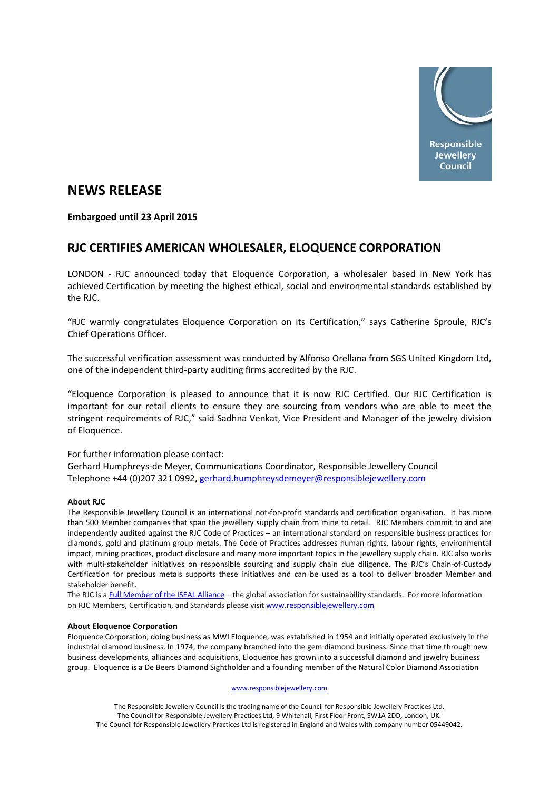

# **NEWS RELEASE**

### **Embargoed until 23 April 2015**

## **RJC CERTIFIES AMERICAN WHOLESALER, ELOQUENCE CORPORATION**

LONDON - RJC announced today that Eloquence Corporation, a wholesaler based in New York has achieved Certification by meeting the highest ethical, social and environmental standards established by the RJC.

"RJC warmly congratulates Eloquence Corporation on its Certification," says Catherine Sproule, RJC's Chief Operations Officer.

The successful verification assessment was conducted by Alfonso Orellana from SGS United Kingdom Ltd, one of the independent third-party auditing firms accredited by the RJC.

"Eloquence Corporation is pleased to announce that it is now RJC Certified. Our RJC Certification is important for our retail clients to ensure they are sourcing from vendors who are able to meet the stringent requirements of RJC," said Sadhna Venkat, Vice President and Manager of the jewelry division of Eloquence.

#### For further information please contact:

Gerhard Humphreys-de Meyer, Communications Coordinator, Responsible Jewellery Council Telephone +44 (0)207 321 0992, [gerhard.humphreysdemeyer@responsiblejewellery.com](mailto:gerhard.humphreysdemeyer@responsiblejewellery.com)

#### **About RJC**

The Responsible Jewellery Council is an international not-for-profit standards and certification organisation. It has more than 500 Member companies that span the jewellery supply chain from mine to retail. RJC Members commit to and are independently audited against the RJC Code of Practices – an international standard on responsible business practices for diamonds, gold and platinum group metals. The Code of Practices addresses human rights, labour rights, environmental impact, mining practices, product disclosure and many more important topics in the jewellery supply chain. RJC also works with multi-stakeholder initiatives on responsible sourcing and supply chain due diligence. The RJC's Chain-of-Custody Certification for precious metals supports these initiatives and can be used as a tool to deliver broader Member and stakeholder benefit.

The RJC is [a Full Member of the ISEAL Alliance](http://www.isealalliance.org/our-members/full-members) – the global association for sustainability standards. For more information on RJC Members, Certification, and Standards please visi[t www.responsiblejewellery.com](http://www.responsiblejewellery.com/)

#### **About Eloquence Corporation**

Eloquence Corporation, doing business as MWI Eloquence, was established in 1954 and initially operated exclusively in the industrial diamond business. In 1974, the company branched into the gem diamond business. Since that time through new business developments, alliances and acquisitions, Eloquence has grown into a successful diamond and jewelry business group. Eloquence is a De Beers Diamond Sightholder and a founding member of the Natural Color Diamond Association

#### [www.responsiblejewellery.com](http://www.responsiblejewellery.com/)

The Responsible Jewellery Council is the trading name of the Council for Responsible Jewellery Practices Ltd. The Council for Responsible Jewellery Practices Ltd, 9 Whitehall, First Floor Front, SW1A 2DD, London, UK. The Council for Responsible Jewellery Practices Ltd is registered in England and Wales with company number 05449042.